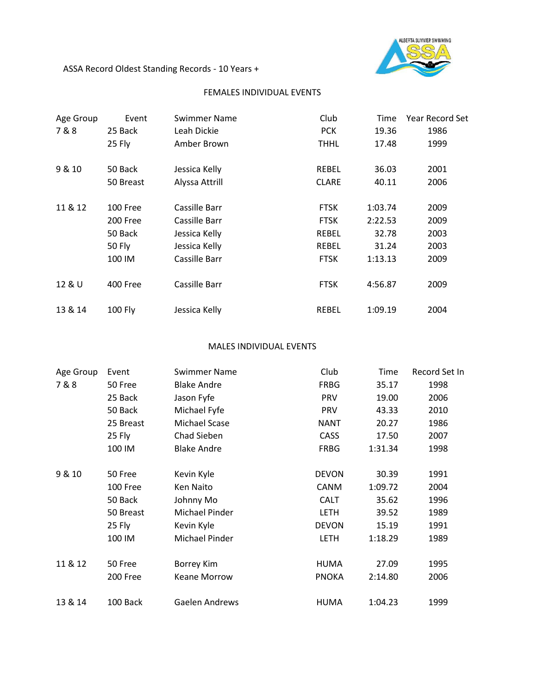

ASSA Record Oldest Standing Records - 10 Years +

## FEMALES INDIVIDUAL EVENTS

| Age Group | Event           | Swimmer Name   | Club         | Time    | <b>Year Record Set</b> |
|-----------|-----------------|----------------|--------------|---------|------------------------|
| 7&8       | 25 Back         | Leah Dickie    | <b>PCK</b>   | 19.36   | 1986                   |
|           | 25 Fly          | Amber Brown    | <b>THHL</b>  | 17.48   | 1999                   |
| 9 & 10    | 50 Back         | Jessica Kelly  | <b>REBEL</b> | 36.03   | 2001                   |
|           | 50 Breast       | Alyssa Attrill | <b>CLARE</b> | 40.11   | 2006                   |
| 11 & 12   | 100 Free        | Cassille Barr  | <b>FTSK</b>  | 1:03.74 | 2009                   |
|           | 200 Free        | Cassille Barr  | <b>FTSK</b>  | 2:22.53 | 2009                   |
|           | 50 Back         | Jessica Kelly  | <b>REBEL</b> | 32.78   | 2003                   |
|           | <b>50 Fly</b>   | Jessica Kelly  | <b>REBEL</b> | 31.24   | 2003                   |
|           | 100 IM          | Cassille Barr  | <b>FTSK</b>  | 1:13.13 | 2009                   |
| 12 & U    | <b>400 Free</b> | Cassille Barr  | <b>FTSK</b>  | 4:56.87 | 2009                   |
| 13 & 14   | <b>100 Fly</b>  | Jessica Kelly  | REBEL        | 1:09.19 | 2004                   |

## MALES INDIVIDUAL EVENTS

| Age Group | Event     | Swimmer Name          | Club         | Time    | Record Set In |
|-----------|-----------|-----------------------|--------------|---------|---------------|
| 7&8       | 50 Free   | <b>Blake Andre</b>    | <b>FRBG</b>  | 35.17   | 1998          |
|           | 25 Back   | Jason Fyfe            | <b>PRV</b>   | 19.00   | 2006          |
|           | 50 Back   | Michael Fyfe          | <b>PRV</b>   | 43.33   | 2010          |
|           | 25 Breast | Michael Scase         | <b>NANT</b>  | 20.27   | 1986          |
|           | 25 Fly    | Chad Sieben           | CASS         | 17.50   | 2007          |
|           | 100 IM    | <b>Blake Andre</b>    | <b>FRBG</b>  | 1:31.34 | 1998          |
| 9 & 10    | 50 Free   | Kevin Kyle            | <b>DEVON</b> | 30.39   | 1991          |
|           | 100 Free  | Ken Naito             | <b>CANM</b>  | 1:09.72 | 2004          |
|           | 50 Back   | Johnny Mo             | <b>CALT</b>  | 35.62   | 1996          |
|           | 50 Breast | Michael Pinder        | <b>LETH</b>  | 39.52   | 1989          |
|           | 25 Fly    | Kevin Kyle            | <b>DEVON</b> | 15.19   | 1991          |
|           | 100 IM    | Michael Pinder        | <b>LETH</b>  | 1:18.29 | 1989          |
| 11 & 12   | 50 Free   | <b>Borrey Kim</b>     | HUMA         | 27.09   | 1995          |
|           | 200 Free  | <b>Keane Morrow</b>   | <b>PNOKA</b> | 2:14.80 | 2006          |
| 13 & 14   | 100 Back  | <b>Gaelen Andrews</b> | <b>HUMA</b>  | 1:04.23 | 1999          |